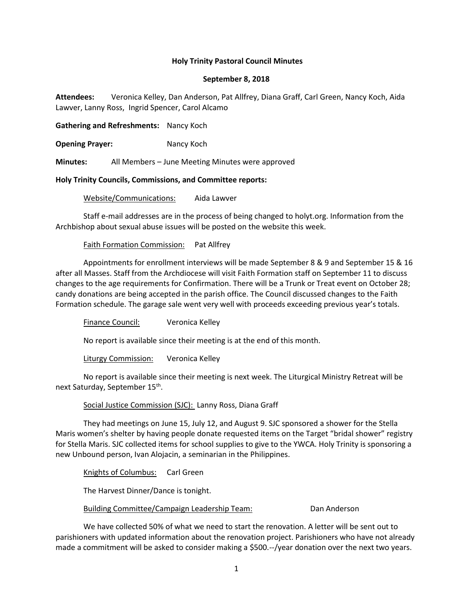## **Holy Trinity Pastoral Council Minutes**

### **September 8, 2018**

**Attendees:** Veronica Kelley, Dan Anderson, Pat Allfrey, Diana Graff, Carl Green, Nancy Koch, Aida Lawver, Lanny Ross, Ingrid Spencer, Carol Alcamo

**Gathering and Refreshments:** Nancy Koch

**Opening Prayer:** Nancy Koch

**Minutes:** All Members – June Meeting Minutes were approved

### **Holy Trinity Councils, Commissions, and Committee reports:**

Website/Communications: Aida Lawver

Staff e-mail addresses are in the process of being changed to holyt.org. Information from the Archbishop about sexual abuse issues will be posted on the website this week.

## Faith Formation Commission: Pat Allfrey

Appointments for enrollment interviews will be made September 8 & 9 and September 15 & 16 after all Masses. Staff from the Archdiocese will visit Faith Formation staff on September 11 to discuss changes to the age requirements for Confirmation. There will be a Trunk or Treat event on October 28; candy donations are being accepted in the parish office. The Council discussed changes to the Faith Formation schedule. The garage sale went very well with proceeds exceeding previous year's totals.

Finance Council: Veronica Kelley

No report is available since their meeting is at the end of this month.

Liturgy Commission: Veronica Kelley

No report is available since their meeting is next week. The Liturgical Ministry Retreat will be next Saturday, September 15<sup>th</sup>.

Social Justice Commission (SJC): Lanny Ross, Diana Graff

They had meetings on June 15, July 12, and August 9. SJC sponsored a shower for the Stella Maris women's shelter by having people donate requested items on the Target "bridal shower" registry for Stella Maris. SJC collected items for school supplies to give to the YWCA. Holy Trinity is sponsoring a new Unbound person, Ivan Alojacin, a seminarian in the Philippines.

Knights of Columbus: Carl Green

The Harvest Dinner/Dance is tonight.

Building Committee/Campaign Leadership Team: Dan Anderson

We have collected 50% of what we need to start the renovation. A letter will be sent out to parishioners with updated information about the renovation project. Parishioners who have not already made a commitment will be asked to consider making a \$500.--/year donation over the next two years.